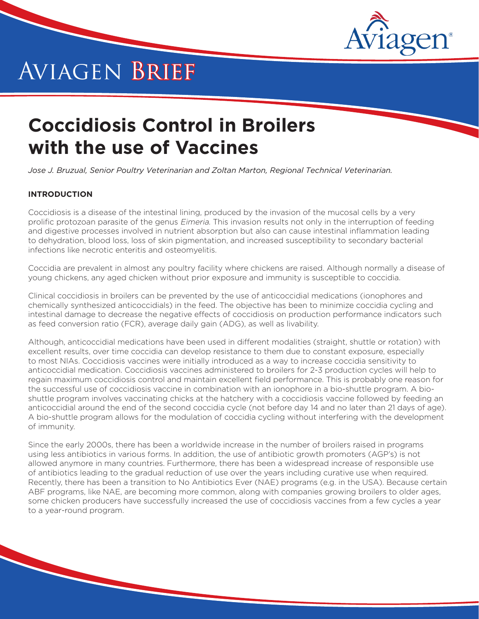

# Aviagen Brief

# **Coccidiosis Control in Broilers with the use of Vaccines**

*Jose J. Bruzual, Senior Poultry Veterinarian and Zoltan Marton, Regional Technical Veterinarian.*

# **INTRODUCTION**

Coccidiosis is a disease of the intestinal lining, produced by the invasion of the mucosal cells by a very prolific protozoan parasite of the genus *Eimeria*. This invasion results not only in the interruption of feeding and digestive processes involved in nutrient absorption but also can cause intestinal inflammation leading to dehydration, blood loss, loss of skin pigmentation, and increased susceptibility to secondary bacterial infections like necrotic enteritis and osteomyelitis.

Coccidia are prevalent in almost any poultry facility where chickens are raised. Although normally a disease of young chickens, any aged chicken without prior exposure and immunity is susceptible to coccidia.

Clinical coccidiosis in broilers can be prevented by the use of anticoccidial medications (ionophores and chemically synthesized anticoccidials) in the feed. The objective has been to minimize coccidia cycling and intestinal damage to decrease the negative effects of coccidiosis on production performance indicators such as feed conversion ratio (FCR), average daily gain (ADG), as well as livability.

Although, anticoccidial medications have been used in different modalities (straight, shuttle or rotation) with excellent results, over time coccidia can develop resistance to them due to constant exposure, especially to most NIAs. Coccidiosis vaccines were initially introduced as a way to increase coccidia sensitivity to anticoccidial medication. Coccidiosis vaccines administered to broilers for 2-3 production cycles will help to regain maximum coccidiosis control and maintain excellent field performance. This is probably one reason for the successful use of coccidiosis vaccine in combination with an ionophore in a bio-shuttle program. A bioshuttle program involves vaccinating chicks at the hatchery with a coccidiosis vaccine followed by feeding an anticoccidial around the end of the second coccidia cycle (not before day 14 and no later than 21 days of age). A bio-shuttle program allows for the modulation of coccidia cycling without interfering with the development of immunity.

Since the early 2000s, there has been a worldwide increase in the number of broilers raised in programs using less antibiotics in various forms. In addition, the use of antibiotic growth promoters (AGP's) is not allowed anymore in many countries. Furthermore, there has been a widespread increase of responsible use of antibiotics leading to the gradual reduction of use over the years including curative use when required. Recently, there has been a transition to No Antibiotics Ever (NAE) programs (e.g. in the USA). Because certain ABF programs, like NAE, are becoming more common, along with companies growing broilers to older ages, some chicken producers have successfully increased the use of coccidiosis vaccines from a few cycles a year to a year-round program.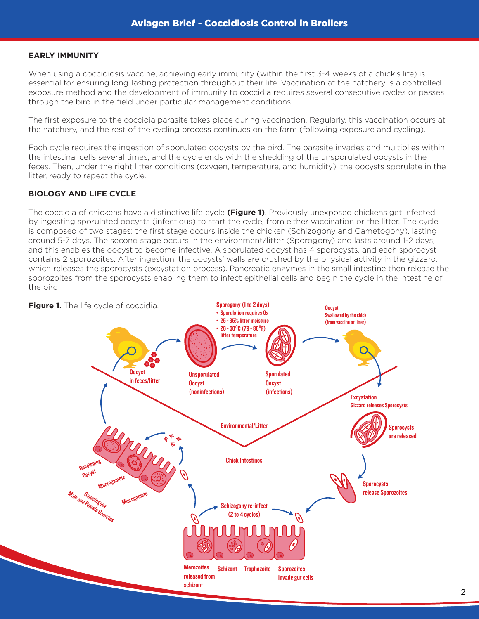## **EARLY IMMUNITY**

When using a coccidiosis vaccine, achieving early immunity (within the first 3-4 weeks of a chick's life) is essential for ensuring long-lasting protection throughout their life. Vaccination at the hatchery is a controlled exposure method and the development of immunity to coccidia requires several consecutive cycles or passes through the bird in the field under particular management conditions.

The first exposure to the coccidia parasite takes place during vaccination. Regularly, this vaccination occurs at the hatchery, and the rest of the cycling process continues on the farm (following exposure and cycling).

Each cycle requires the ingestion of sporulated oocysts by the bird. The parasite invades and multiplies within the intestinal cells several times, and the cycle ends with the shedding of the unsporulated oocysts in the feces. Then, under the right litter conditions (oxygen, temperature, and humidity), the oocysts sporulate in the litter, ready to repeat the cycle.

# **BIOLOGY AND LIFE CYCLE**

The coccidia of chickens have a distinctive life cycle **(Figure 1)**. Previously unexposed chickens get infected by ingesting sporulated oocysts (infectious) to start the cycle, from either vaccination or the litter. The cycle is composed of two stages; the first stage occurs inside the chicken (Schizogony and Gametogony), lasting around 5-7 days. The second stage occurs in the environment/litter (Sporogony) and lasts around 1-2 days, and this enables the oocyst to become infective. A sporulated oocyst has 4 sporocysts, and each sporocyst contains 2 sporozoites. After ingestion, the oocysts' walls are crushed by the physical activity in the gizzard, which releases the sporocysts (excystation process). Pancreatic enzymes in the small intestine then release the sporozoites from the sporocysts enabling them to infect epithelial cells and begin the cycle in the intestine of the bird.

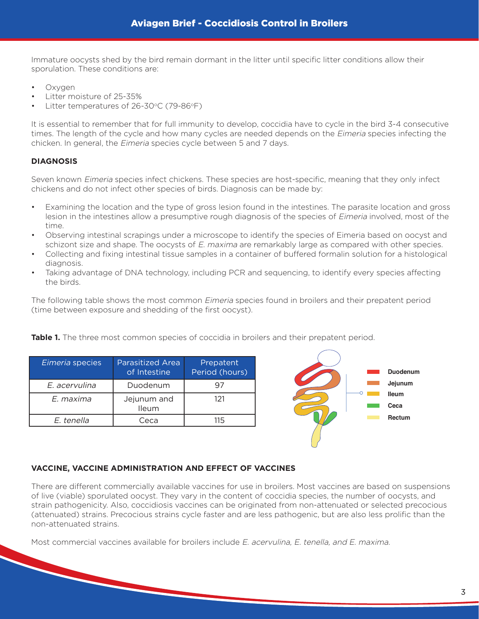Immature oocysts shed by the bird remain dormant in the litter until specific litter conditions allow their sporulation. These conditions are:

- Oxygen
- Litter moisture of 25-35%
- Litter temperatures of 26-30°C (79-86°F)

It is essential to remember that for full immunity to develop, coccidia have to cycle in the bird 3-4 consecutive times. The length of the cycle and how many cycles are needed depends on the *Eimeria* species infecting the chicken. In general, the Eimeria species cycle between 5 and 7 days.

## **DIAGNOSIS**

Seven known Eimeria species infect chickens. These species are host-specific, meaning that they only infect chickens and do not infect other species of birds. Diagnosis can be made by:

- Examining the location and the type of gross lesion found in the intestines. The parasite location and gross lesion in the intestines allow a presumptive rough diagnosis of the species of Eimeria involved, most of the time.
- Observing intestinal scrapings under a microscope to identify the species of Eimeria based on oocyst and schizont size and shape. The oocysts of E. maxima are remarkably large as compared with other species.
- Collecting and fixing intestinal tissue samples in a container of buffered formalin solution for a histological diagnosis.
- Taking advantage of DNA technology, including PCR and sequencing, to identify every species affecting the birds.

The following table shows the most common Eimeria species found in broilers and their prepatent period (time between exposure and shedding of the first oocyst).

| Eimeria species | <b>Parasitized Area</b><br>of Intestine | Prepatent<br>Period (hours) |
|-----------------|-----------------------------------------|-----------------------------|
| E. acervulina   | Duodenum                                |                             |
| E. maxima       | Jejunum and<br>Ileum                    | 121                         |
| E. tenella      |                                         |                             |

**Table 1.** The three most common species of coccidia in broilers and their prepatent period.



#### **VACCINE, VACCINE ADMINISTRATION AND EFFECT OF VACCINES**

There are different commercially available vaccines for use in broilers. Most vaccines are based on suspensions of live (viable) sporulated oocyst. They vary in the content of coccidia species, the number of oocysts, and strain pathogenicity. Also, coccidiosis vaccines can be originated from non-attenuated or selected precocious (attenuated) strains. Precocious strains cycle faster and are less pathogenic, but are also less prolific than the non-attenuated strains.

Most commercial vaccines available for broilers include E. acervulina, E. tenella, and E. maxima.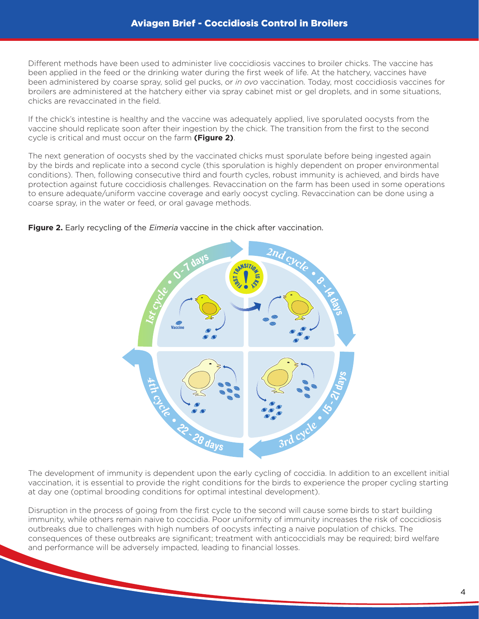Different methods have been used to administer live coccidiosis vaccines to broiler chicks. The vaccine has been applied in the feed or the drinking water during the first week of life. At the hatchery, vaccines have been administered by coarse spray, solid gel pucks, or *in ovo* vaccination. Today, most coccidiosis vaccines for broilers are administered at the hatchery either via spray cabinet mist or gel droplets, and in some situations, chicks are revaccinated in the field.

If the chick's intestine is healthy and the vaccine was adequately applied, live sporulated oocysts from the vaccine should replicate soon after their ingestion by the chick. The transition from the first to the second cycle is critical and must occur on the farm **(Figure 2)**.

The next generation of oocysts shed by the vaccinated chicks must sporulate before being ingested again by the birds and replicate into a second cycle (this sporulation is highly dependent on proper environmental conditions). Then, following consecutive third and fourth cycles, robust immunity is achieved, and birds have protection against future coccidiosis challenges. Revaccination on the farm has been used in some operations to ensure adequate/uniform vaccine coverage and early oocyst cycling. Revaccination can be done using a coarse spray, in the water or feed, or oral gavage methods.



#### **Figure 2.** Early recycling of the *Eimeria* vaccine in the chick after vaccination.

The development of immunity is dependent upon the early cycling of coccidia. In addition to an excellent initial vaccination, it is essential to provide the right conditions for the birds to experience the proper cycling starting at day one (optimal brooding conditions for optimal intestinal development).

Disruption in the process of going from the first cycle to the second will cause some birds to start building immunity, while others remain naive to coccidia. Poor uniformity of immunity increases the risk of coccidiosis outbreaks due to challenges with high numbers of oocysts infecting a naive population of chicks. The consequences of these outbreaks are significant; treatment with anticoccidials may be required; bird welfare and performance will be adversely impacted, leading to financial losses.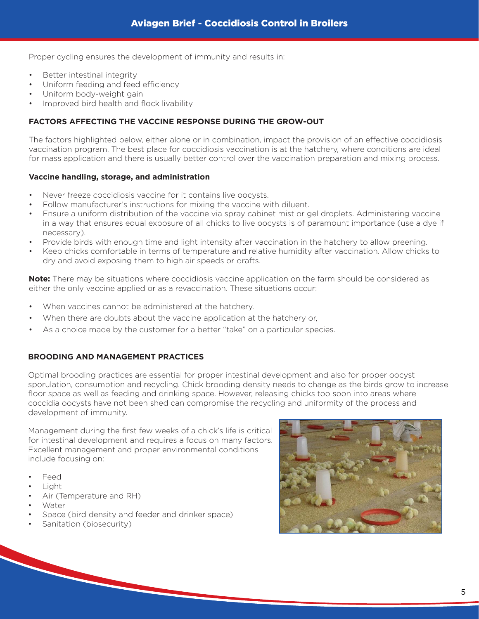Proper cycling ensures the development of immunity and results in:

- Better intestinal integrity
- Uniform feeding and feed efficiency
- Uniform body-weight gain
- Improved bird health and flock livability

#### **FACTORS AFFECTING THE VACCINE RESPONSE DURING THE GROW-OUT**

The factors highlighted below, either alone or in combination, impact the provision of an effective coccidiosis vaccination program. The best place for coccidiosis vaccination is at the hatchery, where conditions are ideal for mass application and there is usually better control over the vaccination preparation and mixing process.

#### **Vaccine handling, storage, and administration**

- Never freeze coccidiosis vaccine for it contains live oocysts.
- Follow manufacturer's instructions for mixing the vaccine with diluent.
- Ensure a uniform distribution of the vaccine via spray cabinet mist or gel droplets. Administering vaccine in a way that ensures equal exposure of all chicks to live oocysts is of paramount importance (use a dye if necessary).
- Provide birds with enough time and light intensity after vaccination in the hatchery to allow preening.
- Keep chicks comfortable in terms of temperature and relative humidity after vaccination. Allow chicks to dry and avoid exposing them to high air speeds or drafts.

**Note:** There may be situations where coccidiosis vaccine application on the farm should be considered as either the only vaccine applied or as a revaccination. These situations occur:

- When vaccines cannot be administered at the hatchery.
- When there are doubts about the vaccine application at the hatchery or,
- As a choice made by the customer for a better "take" on a particular species.

#### **BROODING AND MANAGEMENT PRACTICES**

Optimal brooding practices are essential for proper intestinal development and also for proper oocyst sporulation, consumption and recycling. Chick brooding density needs to change as the birds grow to increase floor space as well as feeding and drinking space. However, releasing chicks too soon into areas where coccidia oocysts have not been shed can compromise the recycling and uniformity of the process and development of immunity.

Management during the first few weeks of a chick's life is critical for intestinal development and requires a focus on many factors. Excellent management and proper environmental conditions include focusing on:

- **Feed**
- Light
- Air (Temperature and RH)
- Water
- Space (bird density and feeder and drinker space)
- Sanitation (biosecurity)

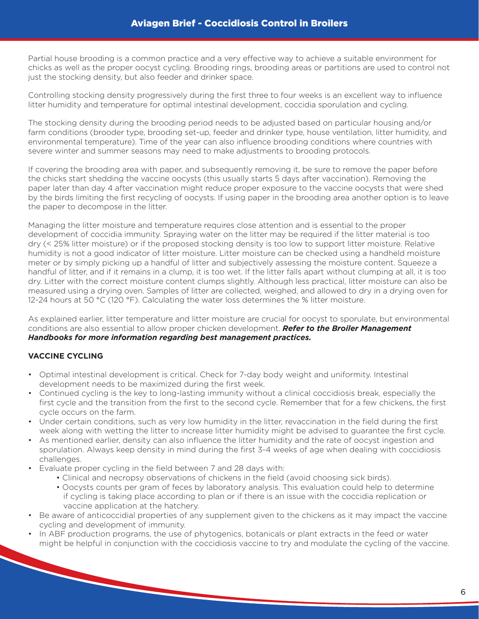Partial house brooding is a common practice and a very effective way to achieve a suitable environment for chicks as well as the proper oocyst cycling. Brooding rings, brooding areas or partitions are used to control not just the stocking density, but also feeder and drinker space.

Controlling stocking density progressively during the first three to four weeks is an excellent way to influence litter humidity and temperature for optimal intestinal development, coccidia sporulation and cycling.

The stocking density during the brooding period needs to be adjusted based on particular housing and/or farm conditions (brooder type, brooding set-up, feeder and drinker type, house ventilation, litter humidity, and environmental temperature). Time of the year can also influence brooding conditions where countries with severe winter and summer seasons may need to make adjustments to brooding protocols.

If covering the brooding area with paper, and subsequently removing it, be sure to remove the paper before the chicks start shedding the vaccine oocysts (this usually starts 5 days after vaccination). Removing the paper later than day 4 after vaccination might reduce proper exposure to the vaccine oocysts that were shed by the birds limiting the first recycling of oocysts. If using paper in the brooding area another option is to leave the paper to decompose in the litter.

Managing the litter moisture and temperature requires close attention and is essential to the proper development of coccidia immunity. Spraying water on the litter may be required if the litter material is too dry (< 25% litter moisture) or if the proposed stocking density is too low to support litter moisture. Relative humidity is not a good indicator of litter moisture. Litter moisture can be checked using a handheld moisture meter or by simply picking up a handful of litter and subjectively assessing the moisture content. Squeeze a handful of litter, and if it remains in a clump, it is too wet. If the litter falls apart without clumping at all, it is too dry. Litter with the correct moisture content clumps slightly. Although less practical, litter moisture can also be measured using a drying oven. Samples of litter are collected, weighed, and allowed to dry in a drying oven for 12-24 hours at 50 °C (120 °F). Calculating the water loss determines the % litter moisture.

As explained earlier, litter temperature and litter moisture are crucial for oocyst to sporulate, but environmental conditions are also essential to allow proper chicken development. *Refer to the Broiler Management Handbooks for more information regarding best management practices.*

# **VACCINE CYCLING**

- Optimal intestinal development is critical. Check for 7-day body weight and uniformity. Intestinal development needs to be maximized during the first week.
- Continued cycling is the key to long-lasting immunity without a clinical coccidiosis break, especially the first cycle and the transition from the first to the second cycle. Remember that for a few chickens, the first cycle occurs on the farm.
- Under certain conditions, such as very low humidity in the litter, revaccination in the field during the first week along with wetting the litter to increase litter humidity might be advised to guarantee the first cycle.
- As mentioned earlier, density can also influence the litter humidity and the rate of oocyst ingestion and sporulation. Always keep density in mind during the first 3-4 weeks of age when dealing with coccidiosis challenges.
- Evaluate proper cycling in the field between 7 and 28 days with:
	- Clinical and necropsy observations of chickens in the field (avoid choosing sick birds).
	- Oocysts counts per gram of feces by laboratory analysis. This evaluation could help to determine if cycling is taking place according to plan or if there is an issue with the coccidia replication or vaccine application at the hatchery.
- Be aware of anticoccidial properties of any supplement given to the chickens as it may impact the vaccine cycling and development of immunity.
- In ABF production programs, the use of phytogenics, botanicals or plant extracts in the feed or water might be helpful in conjunction with the coccidiosis vaccine to try and modulate the cycling of the vaccine.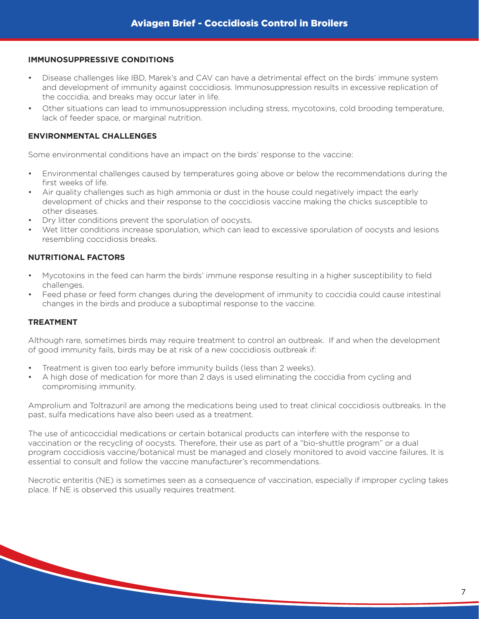#### **IMMUNOSUPPRESSIVE CONDITIONS**

- Disease challenges like IBD, Marek's and CAV can have a detrimental effect on the birds' immune system and development of immunity against coccidiosis. Immunosuppression results in excessive replication of the coccidia, and breaks may occur later in life.
- Other situations can lead to immunosuppression including stress, mycotoxins, cold brooding temperature, lack of feeder space, or marginal nutrition.

#### **ENVIRONMENTAL CHALLENGES**

Some environmental conditions have an impact on the birds' response to the vaccine:

- Environmental challenges caused by temperatures going above or below the recommendations during the first weeks of life.
- Air quality challenges such as high ammonia or dust in the house could negatively impact the early development of chicks and their response to the coccidiosis vaccine making the chicks susceptible to other diseases.
- Dry litter conditions prevent the sporulation of oocysts.
- Wet litter conditions increase sporulation, which can lead to excessive sporulation of oocysts and lesions resembling coccidiosis breaks.

#### **NUTRITIONAL FACTORS**

**CONTRACTOR** 

- Mycotoxins in the feed can harm the birds' immune response resulting in a higher susceptibility to field challenges.
- Feed phase or feed form changes during the development of immunity to coccidia could cause intestinal changes in the birds and produce a suboptimal response to the vaccine.

#### **TREATMENT**

Although rare, sometimes birds may require treatment to control an outbreak. If and when the development of good immunity fails, birds may be at risk of a new coccidiosis outbreak if:

- Treatment is given too early before immunity builds (less than 2 weeks).
- A high dose of medication for more than 2 days is used eliminating the coccidia from cycling and compromising immunity.

Amprolium and Toltrazuril are among the medications being used to treat clinical coccidiosis outbreaks. In the past, sulfa medications have also been used as a treatment.

The use of anticoccidial medications or certain botanical products can interfere with the response to vaccination or the recycling of oocysts. Therefore, their use as part of a "bio-shuttle program" or a dual program coccidiosis vaccine/botanical must be managed and closely monitored to avoid vaccine failures. It is essential to consult and follow the vaccine manufacturer's recommendations.

Necrotic enteritis (NE) is sometimes seen as a consequence of vaccination, especially if improper cycling takes place. If NE is observed this usually requires treatment.